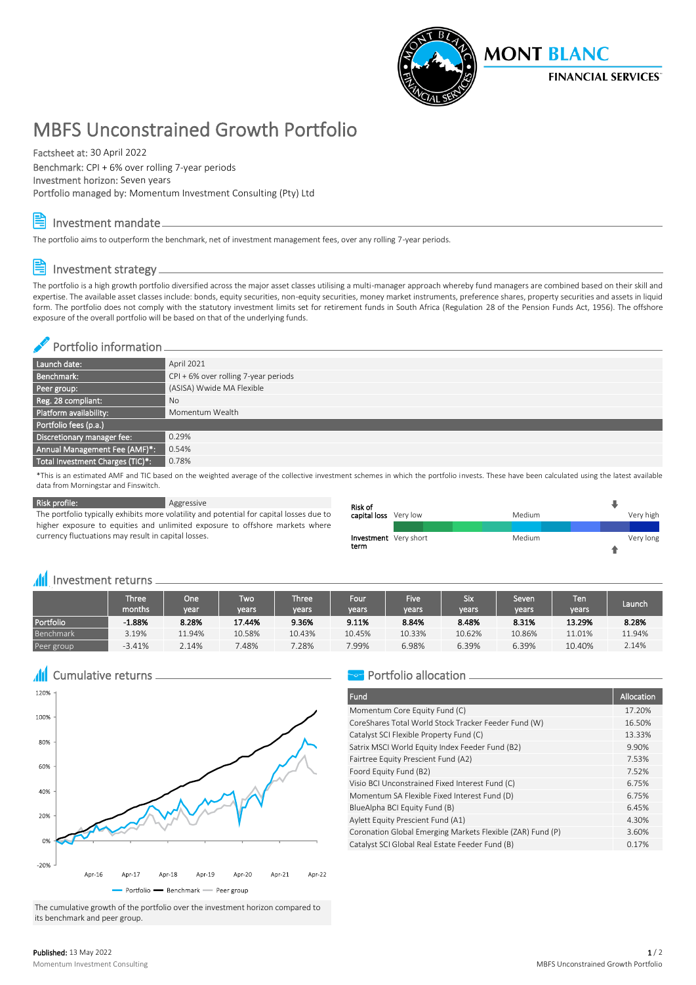

# MBFS Unconstrained Growth Portfolio

Factsheet at: 30 April 2022 Benchmark: CPI + 6% over rolling 7-year periods Investment horizon: Seven years Portfolio managed by: Momentum Investment Consulting (Pty) Ltd

### Investment mandate

The portfolio aims to outperform the benchmark, net of investment management fees, over any rolling 7-year periods.

## Investment strategy

The portfolio is a high growth portfolio diversified across the major asset classes utilising a multi-manager approach whereby fund managers are combined based on their skill and expertise. The available asset classes include: bonds, equity securities, non-equity securities, money market instruments, preference shares, property securities and assets in liquid form. The portfolio does not comply with the statutory investment limits set for retirement funds in South Africa (Regulation 28 of the Pension Funds Act, 1956). The offshore exposure of the overall portfolio will be based on that of the underlying funds.

#### Portfolio information

| Launch date:                     | April 2021                             |
|----------------------------------|----------------------------------------|
| Benchmark:                       | $CPI + 6%$ over rolling 7-year periods |
| Peer group:                      | (ASISA) Wwide MA Flexible              |
| Reg. 28 compliant:               | No                                     |
| Platform availability:           | Momentum Wealth                        |
| Portfolio fees (p.a.)            |                                        |
| Discretionary manager fee:       | 0.29%                                  |
| Annual Management Fee (AMF)*:    | 0.54%                                  |
| Total Investment Charges (TIC)*: | 0.78%                                  |

\*This is an estimated AMF and TIC based on the weighted average of the collective investment schemes in which the portfolio invests. These have been calculated using the latest available data from Morningstar and Finswitch.

Risk profile: Aggressive

The portfolio typically exhibits more volatility and potential for capital losses due to higher exposure to equities and unlimited exposure to offshore markets where currency fluctuations may result in capital losses.

| <b>Risk of</b>        |        |           |
|-----------------------|--------|-----------|
| capital loss Very low | Medium | Very high |
|                       |        |           |
| Investment Very short | Medium | Very long |
| term                  |        |           |

#### **III** Investment returns <sub>-</sub>

|            | Three' $\,$<br>months | One <sup>1</sup><br>vear | Two<br>vears' | <b>Three</b><br>years | Four<br>years | <b>Five</b><br>vears | Six<br>vears | Seven<br>vears | Ten<br>vears | Launch |
|------------|-----------------------|--------------------------|---------------|-----------------------|---------------|----------------------|--------------|----------------|--------------|--------|
| Portfolio  | $-1.88%$              | 8.28%                    | 17.44%        | 9.36%                 | 9.11%         | 8.84%                | 8.48%        | 8.31%          | 13.29%       | 8.28%  |
| Benchmark  | 3.19%                 | 11.94%                   | 10.58%        | 10.43%                | 10.45%        | 10.33%               | 10.62%       | 10.86%         | 11.01%       | 11.94% |
| Peer group | $-3.41%$              | 2.14%                    | .48%          | 7.28%                 | 7.99%         | 6.98%                | 6.39%        | 6.39%          | 10.40%       | 2.14%  |

**All** Cumulative returns



The cumulative growth of the portfolio over the investment horizon compared to its benchmark and peer group.

### Portfolio allocation -

| Fund                                                       | Allocation |
|------------------------------------------------------------|------------|
| Momentum Core Equity Fund (C)                              | 17.20%     |
| CoreShares Total World Stock Tracker Feeder Fund (W)       | 16.50%     |
| Catalyst SCI Flexible Property Fund (C)                    | 13.33%     |
| Satrix MSCI World Equity Index Feeder Fund (B2)            | 9.90%      |
| Fairtree Equity Prescient Fund (A2)                        | 7.53%      |
| Foord Equity Fund (B2)                                     | 7.52%      |
| Visio BCI Unconstrained Fixed Interest Fund (C)            | 6.75%      |
| Momentum SA Flexible Fixed Interest Fund (D)               | 6.75%      |
| BlueAlpha BCI Equity Fund (B)                              | 6.45%      |
| Aylett Equity Prescient Fund (A1)                          | 4.30%      |
| Coronation Global Emerging Markets Flexible (ZAR) Fund (P) | 3.60%      |
| Catalyst SCI Global Real Estate Feeder Fund (B)            | 0.17%      |